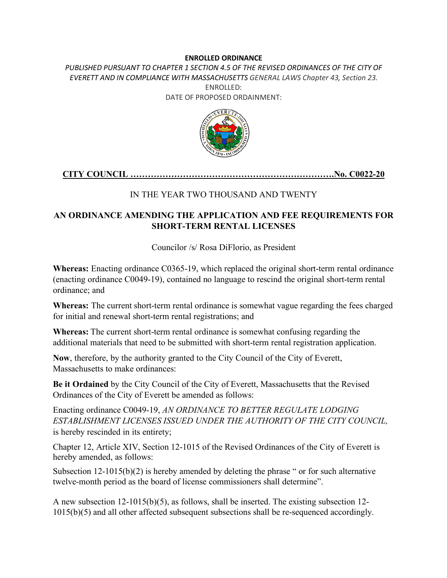#### **ENROLLED ORDINANCE**

PUBLISHED PURSUANT TO CHAPTER 1 SECTION 4.5 OF THE REVISED ORDINANCES OF THE CITY OF *EVERETT AND IN COMPLIANCE WITH MASSACHUSETTS GENERAL LAWS Chapter 43, Section 23.* ENROLLED: DATE OF PROPOSED ORDAINMENT:



### **CITY COUNCIL …………………………………………………………….No. C0022-20**

### IN THE YEAR TWO THOUSAND AND TWENTY

### **AN ORDINANCE AMENDING THE APPLICATION AND FEE REQUIREMENTS FOR SHORT-TERM RENTAL LICENSES**

Councilor /s/ Rosa DiFlorio, as President

**Whereas:** Enacting ordinance C0365-19, which replaced the original short-term rental ordinance (enacting ordinance C0049-19), contained no language to rescind the original short-term rental ordinance; and

**Whereas:** The current short-term rental ordinance is somewhat vague regarding the fees charged for initial and renewal short-term rental registrations; and

**Whereas:** The current short-term rental ordinance is somewhat confusing regarding the additional materials that need to be submitted with short-term rental registration application.

**Now**, therefore, by the authority granted to the City Council of the City of Everett, Massachusetts to make ordinances:

**Be it Ordained** by the City Council of the City of Everett, Massachusetts that the Revised Ordinances of the City of Everett be amended as follows:

Enacting ordinance C0049-19, *AN ORDINANCE TO BETTER REGULATE LODGING ESTABLISHMENT LICENSES ISSUED UNDER THE AUTHORITY OF THE CITY COUNCIL,* is hereby rescinded in its entirety;

Chapter 12, Article XIV, Section 12-1015 of the Revised Ordinances of the City of Everett is hereby amended, as follows:

Subsection 12-1015(b)(2) is hereby amended by deleting the phrase " or for such alternative twelve-month period as the board of license commissioners shall determine".

A new subsection 12-1015(b)(5), as follows, shall be inserted. The existing subsection 12- 1015(b)(5) and all other affected subsequent subsections shall be re-sequenced accordingly.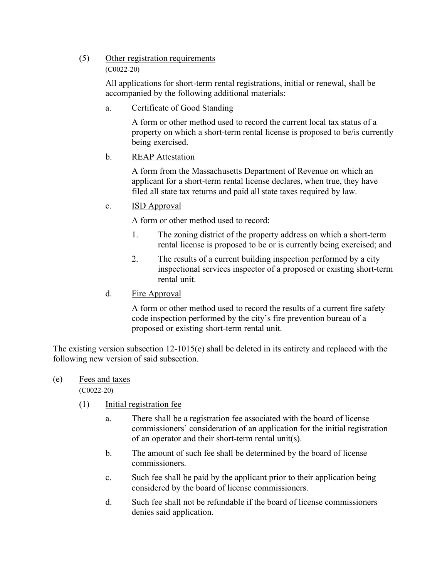# (5) Other registration requirements

#### (C0022-20)

All applications for short-term rental registrations, initial or renewal, shall be accompanied by the following additional materials:

a. Certificate of Good Standing

A form or other method used to record the current local tax status of a property on which a short-term rental license is proposed to be/is currently being exercised.

b. REAP Attestation

A form from the Massachusetts Department of Revenue on which an applicant for a short-term rental license declares, when true, they have filed all state tax returns and paid all state taxes required by law.

### c. ISD Approval

A form or other method used to record:

- 1. The zoning district of the property address on which a short-term rental license is proposed to be or is currently being exercised; and
- 2. The results of a current building inspection performed by a city inspectional services inspector of a proposed or existing short-term rental unit.
- d. Fire Approval

A form or other method used to record the results of a current fire safety code inspection performed by the city's fire prevention bureau of a proposed or existing short-term rental unit.

The existing version subsection 12-1015(e) shall be deleted in its entirety and replaced with the following new version of said subsection.

# (e) Fees and taxes

(C0022-20)

- (1) Initial registration fee
	- a. There shall be a registration fee associated with the board of license commissioners' consideration of an application for the initial registration of an operator and their short-term rental unit(s).
	- b. The amount of such fee shall be determined by the board of license commissioners.
	- c. Such fee shall be paid by the applicant prior to their application being considered by the board of license commissioners.
	- d. Such fee shall not be refundable if the board of license commissioners denies said application.